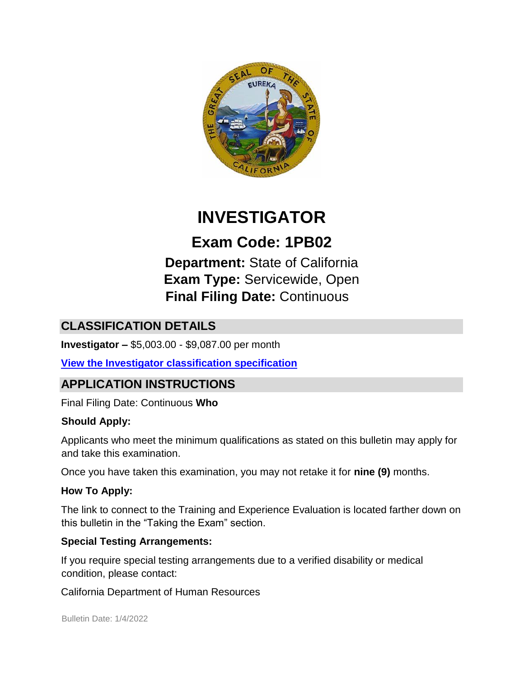

# **INVESTIGATOR**

# **Exam Code: 1PB02**

**Department:** State of California **Exam Type:** Servicewide, Open **Final Filing Date:** Continuous

# **CLASSIFICATION DETAILS**

**Investigator –** \$5,003.00 - \$9,087.00 per month

**[View the Investigator](http://calhr.ca.gov/state-hr-professionals/pages/8610.aspx) [classification specification](http://calhr.ca.gov/state-hr-professionals/pages/8610.aspx)**

# **APPLICATION INSTRUCTIONS**

Final Filing Date: Continuous **Who** 

#### **Should Apply:**

Applicants who meet the minimum qualifications as stated on this bulletin may apply for and take this examination.

Once you have taken this examination, you may not retake it for **nine (9)** months.

#### **How To Apply:**

The link to connect to the Training and Experience Evaluation is located farther down on this bulletin in the "Taking the Exam" section.

#### **Special Testing Arrangements:**

If you require special testing arrangements due to a verified disability or medical condition, please contact:

California Department of Human Resources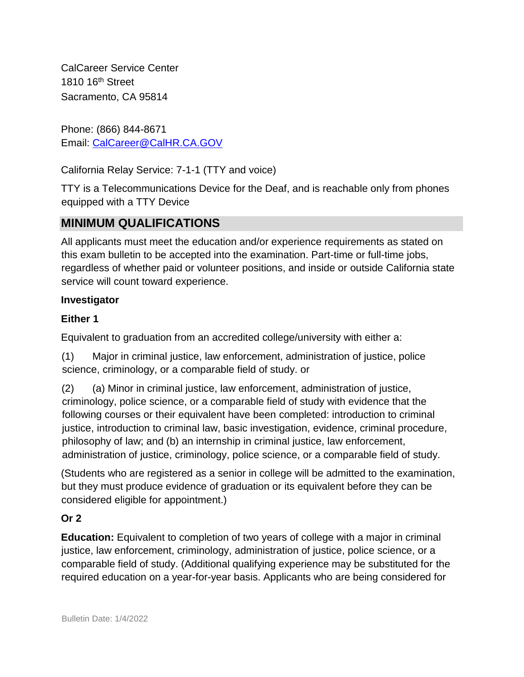CalCareer Service Center 1810 16th Street Sacramento, CA 95814

Phone: (866) 844-8671 Email: CalCareer@CalHR.CA.GOV

California Relay Service: 7-1-1 (TTY and voice)

TTY is a Telecommunications Device for the Deaf, and is reachable only from phones equipped with a TTY Device

### **MINIMUM QUALIFICATIONS**

All applicants must meet the education and/or experience requirements as stated on this exam bulletin to be accepted into the examination. Part-time or full-time jobs, regardless of whether paid or volunteer positions, and inside or outside California state service will count toward experience.

#### **Investigator**

#### **Either 1**

Equivalent to graduation from an accredited college/university with either a:

(1) Major in criminal justice, law enforcement, administration of justice, police science, criminology, or a comparable field of study. or

(2) (a) Minor in criminal justice, law enforcement, administration of justice, criminology, police science, or a comparable field of study with evidence that the following courses or their equivalent have been completed: introduction to criminal justice, introduction to criminal law, basic investigation, evidence, criminal procedure, philosophy of law; and (b) an internship in criminal justice, law enforcement, administration of justice, criminology, police science, or a comparable field of study.

(Students who are registered as a senior in college will be admitted to the examination, but they must produce evidence of graduation or its equivalent before they can be considered eligible for appointment.)

#### **Or 2**

**Education:** Equivalent to completion of two years of college with a major in criminal justice, law enforcement, criminology, administration of justice, police science, or a comparable field of study. (Additional qualifying experience may be substituted for the required education on a year-for-year basis. Applicants who are being considered for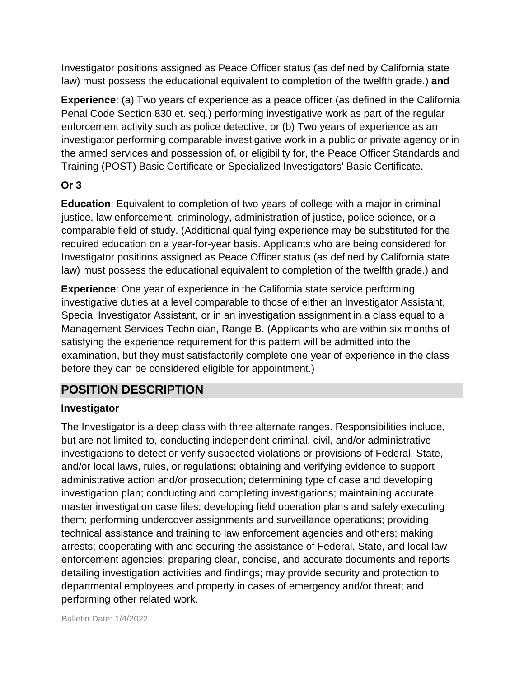Investigator positions assigned as Peace Officer status (as defined by California state law) must possess the educational equivalent to completion of the twelfth grade.) **and**

**Experience**: (a) Two years of experience as a peace officer (as defined in the California Penal Code Section 830 et. seq.) performing investigative work as part of the regular enforcement activity such as police detective, or (b) Two years of experience as an investigator performing comparable investigative work in a public or private agency or in the armed services and possession of, or eligibility for, the Peace Officer Standards and Training (POST) Basic Certificate or Specialized Investigators' Basic Certificate.

#### **Or 3**

**Education**: Equivalent to completion of two years of college with a major in criminal justice, law enforcement, criminology, administration of justice, police science, or a comparable field of study. (Additional qualifying experience may be substituted for the required education on a year-for-year basis. Applicants who are being considered for Investigator positions assigned as Peace Officer status (as defined by California state law) must possess the educational equivalent to completion of the twelfth grade.) and

**Experience**: One year of experience in the California state service performing investigative duties at a level comparable to those of either an Investigator Assistant, Special Investigator Assistant, or in an investigation assignment in a class equal to a Management Services Technician, Range B. (Applicants who are within six months of satisfying the experience requirement for this pattern will be admitted into the examination, but they must satisfactorily complete one year of experience in the class before they can be considered eligible for appointment.)

## **POSITION DESCRIPTION**

#### **Investigator**

The Investigator is a deep class with three alternate ranges. Responsibilities include, but are not limited to, conducting independent criminal, civil, and/or administrative investigations to detect or verify suspected violations or provisions of Federal, State, and/or local laws, rules, or regulations; obtaining and verifying evidence to support administrative action and/or prosecution; determining type of case and developing investigation plan; conducting and completing investigations; maintaining accurate master investigation case files; developing field operation plans and safely executing them; performing undercover assignments and surveillance operations; providing technical assistance and training to law enforcement agencies and others; making arrests; cooperating with and securing the assistance of Federal, State, and local law enforcement agencies; preparing clear, concise, and accurate documents and reports detailing investigation activities and findings; may provide security and protection to departmental employees and property in cases of emergency and/or threat; and performing other related work.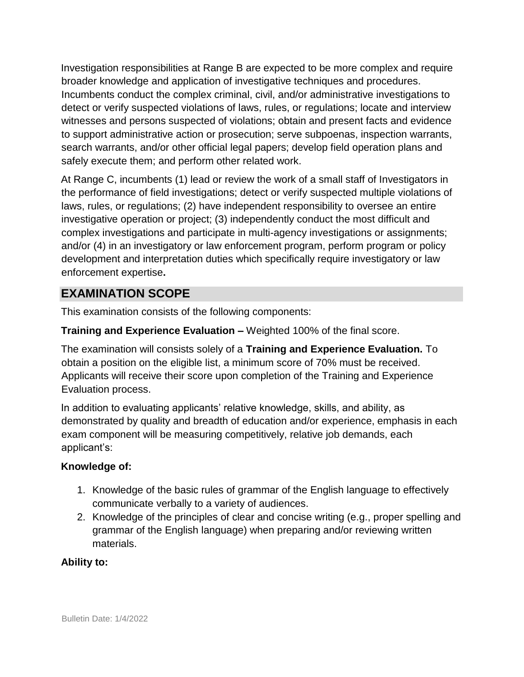Investigation responsibilities at Range B are expected to be more complex and require broader knowledge and application of investigative techniques and procedures. Incumbents conduct the complex criminal, civil, and/or administrative investigations to detect or verify suspected violations of laws, rules, or regulations; locate and interview witnesses and persons suspected of violations; obtain and present facts and evidence to support administrative action or prosecution; serve subpoenas, inspection warrants, search warrants, and/or other official legal papers; develop field operation plans and safely execute them; and perform other related work.

At Range C, incumbents (1) lead or review the work of a small staff of Investigators in the performance of field investigations; detect or verify suspected multiple violations of laws, rules, or regulations; (2) have independent responsibility to oversee an entire investigative operation or project; (3) independently conduct the most difficult and complex investigations and participate in multi-agency investigations or assignments; and/or (4) in an investigatory or law enforcement program, perform program or policy development and interpretation duties which specifically require investigatory or law enforcement expertise**.** 

## **EXAMINATION SCOPE**

This examination consists of the following components:

#### **Training and Experience Evaluation –** Weighted 100% of the final score.

The examination will consists solely of a **Training and Experience Evaluation.** To obtain a position on the eligible list, a minimum score of 70% must be received. Applicants will receive their score upon completion of the Training and Experience Evaluation process.

In addition to evaluating applicants' relative knowledge, skills, and ability, as demonstrated by quality and breadth of education and/or experience, emphasis in each exam component will be measuring competitively, relative job demands, each applicant's:

#### **Knowledge of:**

- 1. Knowledge of the basic rules of grammar of the English language to effectively communicate verbally to a variety of audiences.
- 2. Knowledge of the principles of clear and concise writing (e.g., proper spelling and grammar of the English language) when preparing and/or reviewing written materials.

#### **Ability to:**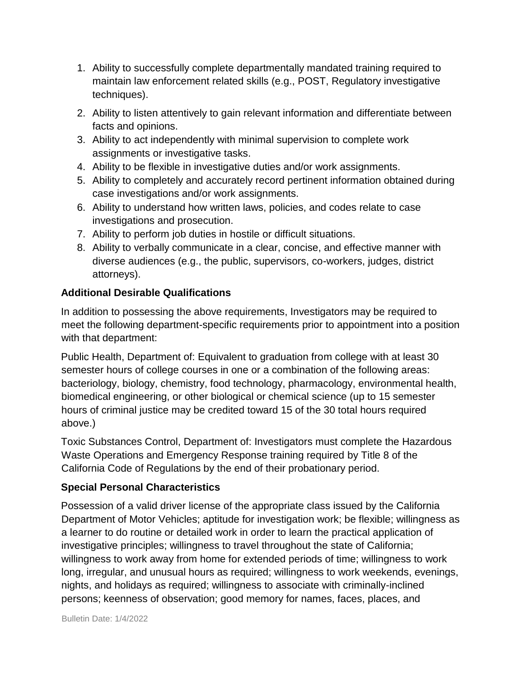- 1. Ability to successfully complete departmentally mandated training required to maintain law enforcement related skills (e.g., POST, Regulatory investigative techniques).
- 2. Ability to listen attentively to gain relevant information and differentiate between facts and opinions.
- 3. Ability to act independently with minimal supervision to complete work assignments or investigative tasks.
- 4. Ability to be flexible in investigative duties and/or work assignments.
- 5. Ability to completely and accurately record pertinent information obtained during case investigations and/or work assignments.
- 6. Ability to understand how written laws, policies, and codes relate to case investigations and prosecution.
- 7. Ability to perform job duties in hostile or difficult situations.
- 8. Ability to verbally communicate in a clear, concise, and effective manner with diverse audiences (e.g., the public, supervisors, co-workers, judges, district attorneys).

#### **Additional Desirable Qualifications**

In addition to possessing the above requirements, Investigators may be required to meet the following department-specific requirements prior to appointment into a position with that department:

Public Health, Department of: Equivalent to graduation from college with at least 30 semester hours of college courses in one or a combination of the following areas: bacteriology, biology, chemistry, food technology, pharmacology, environmental health, biomedical engineering, or other biological or chemical science (up to 15 semester hours of criminal justice may be credited toward 15 of the 30 total hours required above.)

Toxic Substances Control, Department of: Investigators must complete the Hazardous Waste Operations and Emergency Response training required by Title 8 of the California Code of Regulations by the end of their probationary period.

#### **Special Personal Characteristics**

Possession of a valid driver license of the appropriate class issued by the California Department of Motor Vehicles; aptitude for investigation work; be flexible; willingness as a learner to do routine or detailed work in order to learn the practical application of investigative principles; willingness to travel throughout the state of California; willingness to work away from home for extended periods of time; willingness to work long, irregular, and unusual hours as required; willingness to work weekends, evenings, nights, and holidays as required; willingness to associate with criminally-inclined persons; keenness of observation; good memory for names, faces, places, and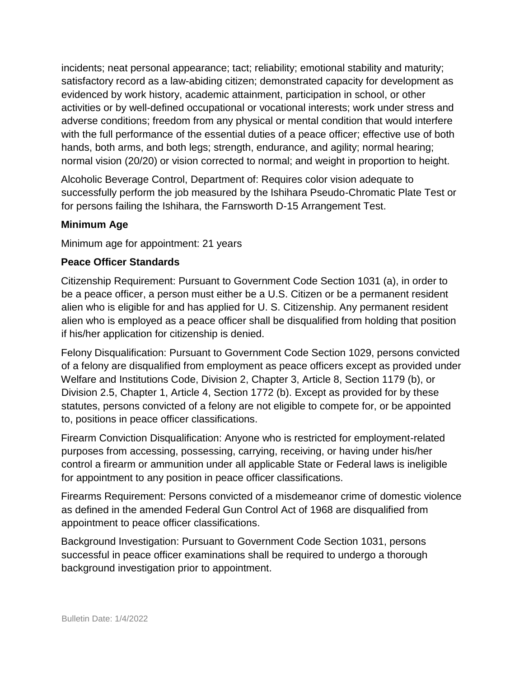incidents; neat personal appearance; tact; reliability; emotional stability and maturity; satisfactory record as a law-abiding citizen; demonstrated capacity for development as evidenced by work history, academic attainment, participation in school, or other activities or by well-defined occupational or vocational interests; work under stress and adverse conditions; freedom from any physical or mental condition that would interfere with the full performance of the essential duties of a peace officer; effective use of both hands, both arms, and both legs; strength, endurance, and agility; normal hearing; normal vision (20/20) or vision corrected to normal; and weight in proportion to height.

Alcoholic Beverage Control, Department of: Requires color vision adequate to successfully perform the job measured by the Ishihara Pseudo-Chromatic Plate Test or for persons failing the Ishihara, the Farnsworth D-15 Arrangement Test.

#### **Minimum Age**

Minimum age for appointment: 21 years

#### **Peace Officer Standards**

Citizenship Requirement: Pursuant to Government Code Section 1031 (a), in order to be a peace officer, a person must either be a U.S. Citizen or be a permanent resident alien who is eligible for and has applied for U. S. Citizenship. Any permanent resident alien who is employed as a peace officer shall be disqualified from holding that position if his/her application for citizenship is denied.

Felony Disqualification: Pursuant to Government Code Section 1029, persons convicted of a felony are disqualified from employment as peace officers except as provided under Welfare and Institutions Code, Division 2, Chapter 3, Article 8, Section 1179 (b), or Division 2.5, Chapter 1, Article 4, Section 1772 (b). Except as provided for by these statutes, persons convicted of a felony are not eligible to compete for, or be appointed to, positions in peace officer classifications.

Firearm Conviction Disqualification: Anyone who is restricted for employment-related purposes from accessing, possessing, carrying, receiving, or having under his/her control a firearm or ammunition under all applicable State or Federal laws is ineligible for appointment to any position in peace officer classifications.

Firearms Requirement: Persons convicted of a misdemeanor crime of domestic violence as defined in the amended Federal Gun Control Act of 1968 are disqualified from appointment to peace officer classifications.

Background Investigation: Pursuant to Government Code Section 1031, persons successful in peace officer examinations shall be required to undergo a thorough background investigation prior to appointment.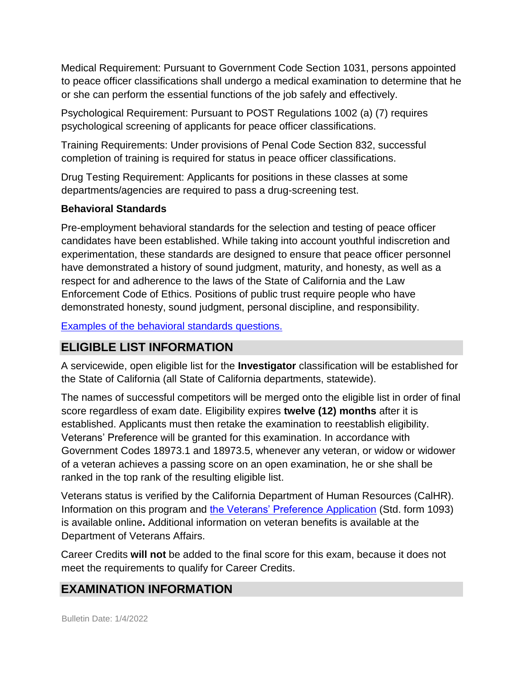Medical Requirement: Pursuant to Government Code Section 1031, persons appointed to peace officer classifications shall undergo a medical examination to determine that he or she can perform the essential functions of the job safely and effectively.

Psychological Requirement: Pursuant to POST Regulations 1002 (a) (7) requires psychological screening of applicants for peace officer classifications.

Training Requirements: Under provisions of Penal Code Section 832, successful completion of training is required for status in peace officer classifications.

Drug Testing Requirement: Applicants for positions in these classes at some departments/agencies are required to pass a drug-screening test.

#### **Behavioral Standards**

Pre-employment behavioral standards for the selection and testing of peace officer candidates have been established. While taking into account youthful indiscretion and experimentation, these standards are designed to ensure that peace officer personnel have demonstrated a history of sound judgment, maturity, and honesty, as well as a respect for and adherence to the laws of the State of California and the Law Enforcement Code of Ethics. Positions of public trust require people who have demonstrated honesty, sound judgment, personal discipline, and responsibility.

[Examples of the behavioral standards](https://jobs.ca.gov/jobsgen/1PB02B.pdf) [questions.](https://jobs.ca.gov/jobsgen/1PB02B.pdf)

## **ELIGIBLE LIST INFORMATION**

A servicewide, open eligible list for the **Investigator** classification will be established for the State of California (all State of California departments, statewide).

The names of successful competitors will be merged onto the eligible list in order of final score regardless of exam date. Eligibility expires **twelve (12) months** after it is established. Applicants must then retake the examination to reestablish eligibility. Veterans' Preference will be granted for this examination. In accordance with Government Codes 18973.1 and 18973.5, whenever any veteran, or widow or widower of a veteran achieves a passing score on an open examination, he or she shall be ranked in the top rank of the resulting eligible list.

Veterans status is verified by the California Department of Human Resources (CalHR). Information on this program and [the Veterans' Preference](https://www.jobs.ca.gov/CalHRPublic/Landing/Jobs/VeteransInformation.aspx) Application [\(](https://www.jobs.ca.gov/CalHRPublic/Landing/Jobs/VeteransInformation.aspx)Std. form 1093) is available online**.** Additional information on veteran benefits is available at the Department of Veterans Affairs.

Career Credits **will not** be added to the final score for this exam, because it does not meet the requirements to qualify for Career Credits.

# **EXAMINATION INFORMATION**

Bulletin Date: 1/4/2022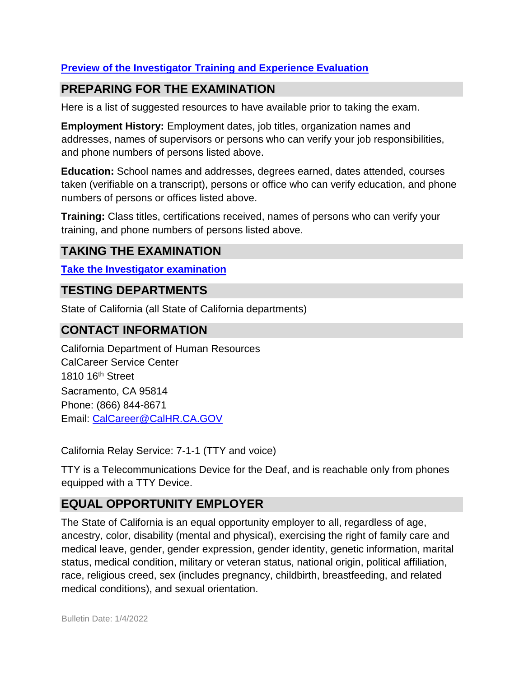#### **[Preview of the Investigator](https://jobs.ca.gov/jobsgen/1PB02A.pdf) [Training and Experience Evaluation](https://jobs.ca.gov/jobsgen/1PB02A.pdf)**

# **PREPARING FOR THE EXAMINATION**

Here is a list of suggested resources to have available prior to taking the exam.

**Employment History:** Employment dates, job titles, organization names and addresses, names of supervisors or persons who can verify your job responsibilities, and phone numbers of persons listed above.

**Education:** School names and addresses, degrees earned, dates attended, courses taken (verifiable on a transcript), persons or office who can verify education, and phone numbers of persons or offices listed above.

**Training:** Class titles, certifications received, names of persons who can verify your training, and phone numbers of persons listed above.

# **TAKING THE EXAMINATION**

**[Take the](https://exams.spb.ca.gov/exams/inv/index.cfm) [Investigator](https://exams.spb.ca.gov/exams/inv/index.cfm) [examination](https://exams.spb.ca.gov/exams/inv/index.cfm)**

## **TESTING DEPARTMENTS**

State of California (all State of California departments)

## **CONTACT INFORMATION**

California Department of Human Resources CalCareer Service Center 1810 16th Street Sacramento, CA 95814 Phone: (866) 844-8671 Email: CalCareer@CalHR.CA.GOV

California Relay Service: 7-1-1 (TTY and voice)

TTY is a Telecommunications Device for the Deaf, and is reachable only from phones equipped with a TTY Device.

# **EQUAL OPPORTUNITY EMPLOYER**

The State of California is an equal opportunity employer to all, regardless of age, ancestry, color, disability (mental and physical), exercising the right of family care and medical leave, gender, gender expression, gender identity, genetic information, marital status, medical condition, military or veteran status, national origin, political affiliation, race, religious creed, sex (includes pregnancy, childbirth, breastfeeding, and related medical conditions), and sexual orientation.